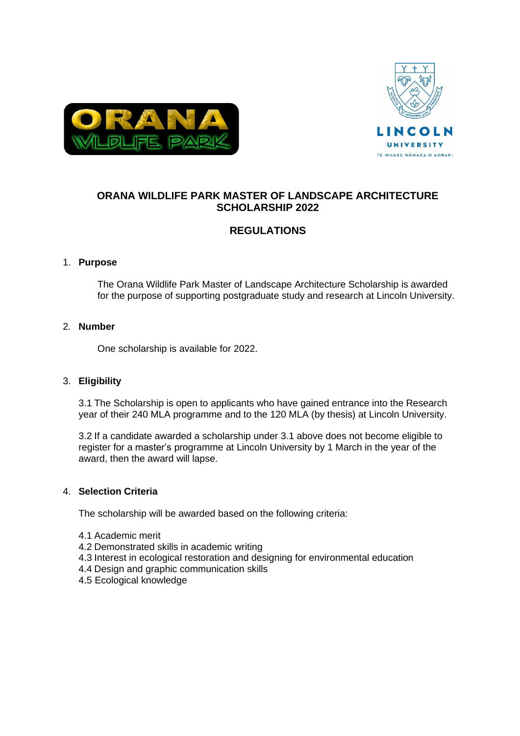



# **ORANA WILDLIFE PARK MASTER OF LANDSCAPE ARCHITECTURE SCHOLARSHIP 2022**

# **REGULATIONS**

# 1. **Purpose**

The Orana Wildlife Park Master of Landscape Architecture Scholarship is awarded for the purpose of supporting postgraduate study and research at Lincoln University.

# 2. **Number**

One scholarship is available for 2022.

# 3. **Eligibility**

3.1 The Scholarship is open to applicants who have gained entrance into the Research year of their 240 MLA programme and to the 120 MLA (by thesis) at Lincoln University.

3.2 If a candidate awarded a scholarship under 3.1 above does not become eligible to register for a master's programme at Lincoln University by 1 March in the year of the award, then the award will lapse.

# 4. **Selection Criteria**

The scholarship will be awarded based on the following criteria:

- 4.1 Academic merit
- 4.2 Demonstrated skills in academic writing
- 4.3 Interest in ecological restoration and designing for environmental education
- 4.4 Design and graphic communication skills
- 4.5 Ecological knowledge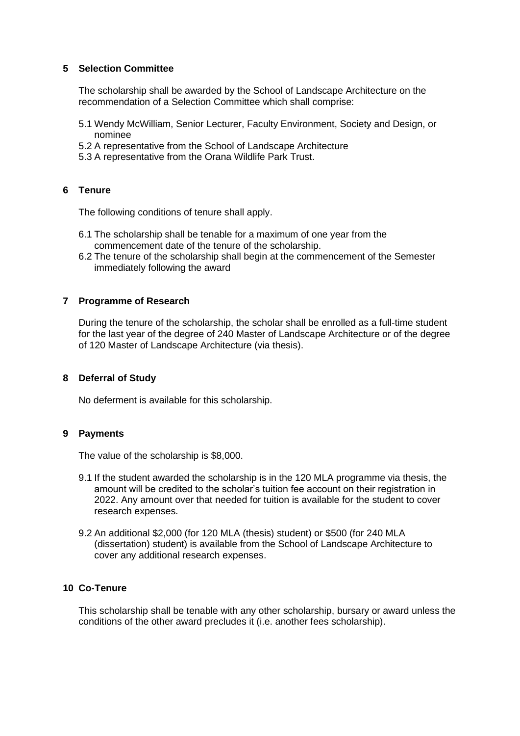#### **5 Selection Committee**

The scholarship shall be awarded by the School of Landscape Architecture on the recommendation of a Selection Committee which shall comprise:

- 5.1 Wendy McWilliam, Senior Lecturer, Faculty Environment, Society and Design, or nominee
- 5.2 A representative from the School of Landscape Architecture
- 5.3 A representative from the Orana Wildlife Park Trust.

# **6 Tenure**

The following conditions of tenure shall apply.

- 6.1 The scholarship shall be tenable for a maximum of one year from the commencement date of the tenure of the scholarship.
- 6.2 The tenure of the scholarship shall begin at the commencement of the Semester immediately following the award

# **7 Programme of Research**

During the tenure of the scholarship, the scholar shall be enrolled as a full-time student for the last year of the degree of 240 Master of Landscape Architecture or of the degree of 120 Master of Landscape Architecture (via thesis).

#### **8 Deferral of Study**

No deferment is available for this scholarship.

# **9 Payments**

The value of the scholarship is \$8,000.

- 9.1 If the student awarded the scholarship is in the 120 MLA programme via thesis, the amount will be credited to the scholar's tuition fee account on their registration in 2022. Any amount over that needed for tuition is available for the student to cover research expenses.
- 9.2 An additional \$2,000 (for 120 MLA (thesis) student) or \$500 (for 240 MLA (dissertation) student) is available from the School of Landscape Architecture to cover any additional research expenses.

# **10 Co-Tenure**

This scholarship shall be tenable with any other scholarship, bursary or award unless the conditions of the other award precludes it (i.e. another fees scholarship).